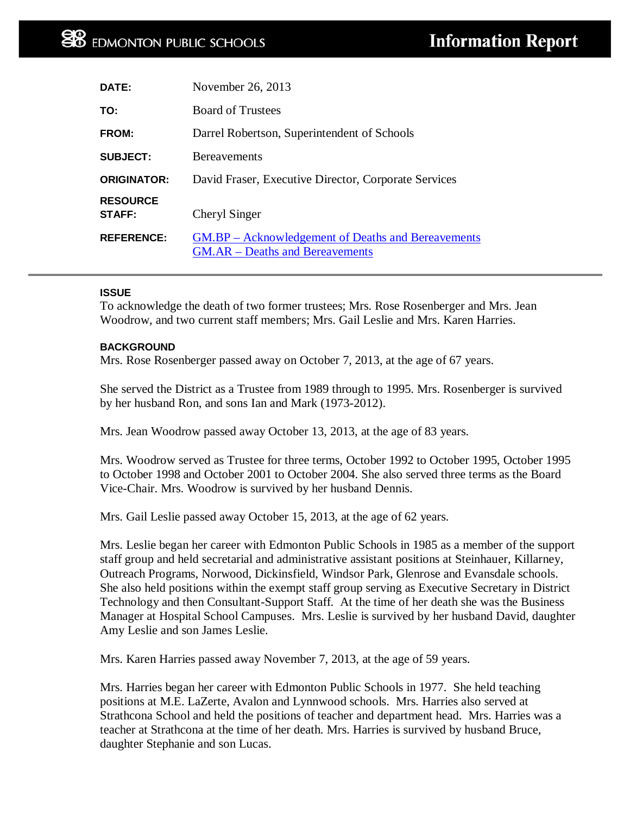| DATE:                            | November 26, 2013                                                                                   |
|----------------------------------|-----------------------------------------------------------------------------------------------------|
| TO:                              | <b>Board of Trustees</b>                                                                            |
| <b>FROM:</b>                     | Darrel Robertson, Superintendent of Schools                                                         |
| <b>SUBJECT:</b>                  | <b>Bereavements</b>                                                                                 |
| <b>ORIGINATOR:</b>               | David Fraser, Executive Director, Corporate Services                                                |
| <b>RESOURCE</b><br><b>STAFF:</b> | Cheryl Singer                                                                                       |
| <b>REFERENCE:</b>                | <b>GM.BP</b> – Acknowledgement of Deaths and Bereavements<br><b>GM.AR</b> – Deaths and Bereavements |

## **ISSUE**

To acknowledge the death of two former trustees; Mrs. Rose Rosenberger and Mrs. Jean Woodrow, and two current staff members; Mrs. Gail Leslie and Mrs. Karen Harries.

## **BACKGROUND**

Mrs. Rose Rosenberger passed away on October 7, 2013, at the age of 67 years.

She served the District as a Trustee from 1989 through to 1995. Mrs. Rosenberger is survived by her husband Ron, and sons Ian and Mark (1973-2012).

Mrs. Jean Woodrow passed away October 13, 2013, at the age of 83 years.

Mrs. Woodrow served as Trustee for three terms, October 1992 to October 1995, October 1995 to October 1998 and October 2001 to October 2004. She also served three terms as the Board Vice-Chair. Mrs. Woodrow is survived by her husband Dennis.

Mrs. Gail Leslie passed away October 15, 2013, at the age of 62 years.

Mrs. Leslie began her career with Edmonton Public Schools in 1985 as a member of the support staff group and held secretarial and administrative assistant positions at Steinhauer, Killarney, Outreach Programs, Norwood, Dickinsfield, Windsor Park, Glenrose and Evansdale schools. She also held positions within the exempt staff group serving as Executive Secretary in District Technology and then Consultant-Support Staff. At the time of her death she was the Business Manager at Hospital School Campuses. Mrs. Leslie is survived by her husband David, daughter Amy Leslie and son James Leslie.

Mrs. Karen Harries passed away November 7, 2013, at the age of 59 years.

Mrs. Harries began her career with Edmonton Public Schools in 1977. She held teaching positions at M.E. LaZerte, Avalon and Lynnwood schools. Mrs. Harries also served at Strathcona School and held the positions of teacher and department head. Mrs. Harries was a teacher at Strathcona at the time of her death. Mrs. Harries is survived by husband Bruce, daughter Stephanie and son Lucas.